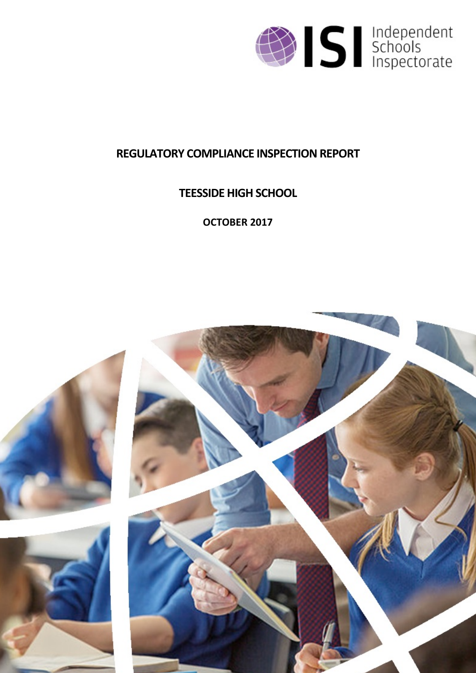

# **REGULATORY COMPLIANCE INSPECTION REPORT**

# **TEESSIDE HIGH SCHOOL**

**OCTOBER 2017**

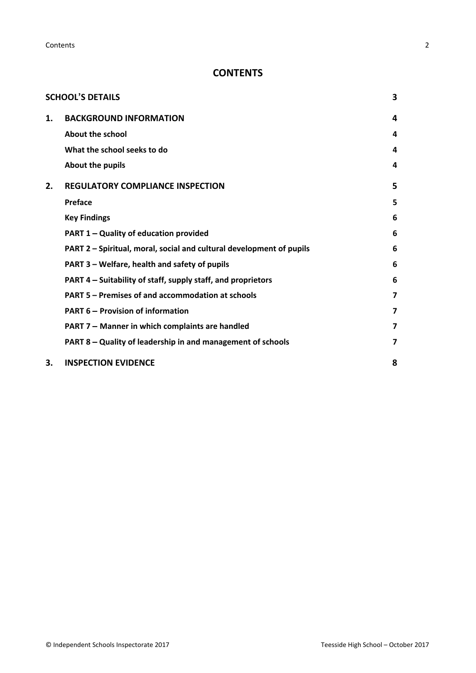**Contents** 2

# **CONTENTS**

|    | <b>SCHOOL'S DETAILS</b>                                              | 3 |
|----|----------------------------------------------------------------------|---|
| 1. | <b>BACKGROUND INFORMATION</b>                                        | 4 |
|    | About the school                                                     | 4 |
|    | What the school seeks to do                                          | 4 |
|    | About the pupils                                                     | 4 |
| 2. | <b>REGULATORY COMPLIANCE INSPECTION</b>                              | 5 |
|    | Preface                                                              | 5 |
|    | <b>Key Findings</b>                                                  | 6 |
|    | <b>PART 1 - Quality of education provided</b>                        | 6 |
|    | PART 2 - Spiritual, moral, social and cultural development of pupils | 6 |
|    | PART 3 - Welfare, health and safety of pupils                        | 6 |
|    | PART 4 – Suitability of staff, supply staff, and proprietors         | 6 |
|    | PART 5 – Premises of and accommodation at schools                    | 7 |
|    | <b>PART 6 - Provision of information</b>                             | 7 |
|    | PART 7 - Manner in which complaints are handled                      | 7 |
|    | PART 8 - Quality of leadership in and management of schools          | 7 |
| 3. | <b>INSPECTION EVIDENCE</b>                                           | 8 |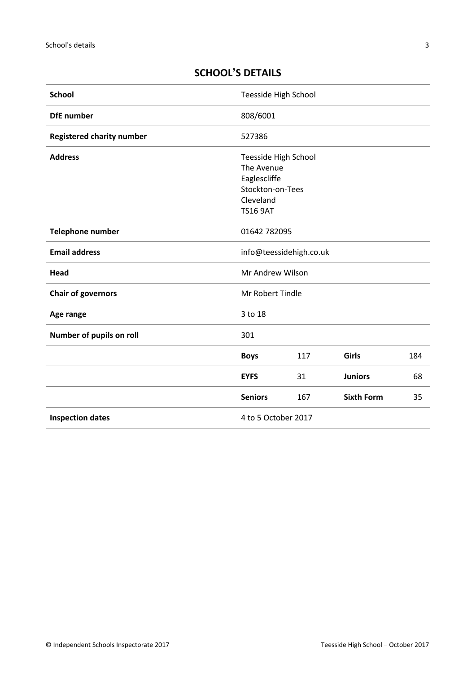# <span id="page-2-0"></span>**SCHOOL'S DETAILS**

| <b>School</b>                    | Teesside High School                                                                                   |     |                   |     |
|----------------------------------|--------------------------------------------------------------------------------------------------------|-----|-------------------|-----|
| <b>DfE</b> number                | 808/6001                                                                                               |     |                   |     |
| <b>Registered charity number</b> | 527386                                                                                                 |     |                   |     |
| <b>Address</b>                   | Teesside High School<br>The Avenue<br>Eaglescliffe<br>Stockton-on-Tees<br>Cleveland<br><b>TS16 9AT</b> |     |                   |     |
| <b>Telephone number</b>          | 01642 782095                                                                                           |     |                   |     |
| <b>Email address</b>             | info@teessidehigh.co.uk                                                                                |     |                   |     |
| Head                             | Mr Andrew Wilson                                                                                       |     |                   |     |
| <b>Chair of governors</b>        | Mr Robert Tindle                                                                                       |     |                   |     |
| Age range                        | 3 to 18                                                                                                |     |                   |     |
| Number of pupils on roll         | 301                                                                                                    |     |                   |     |
|                                  | <b>Boys</b>                                                                                            | 117 | Girls             | 184 |
|                                  | <b>EYFS</b>                                                                                            | 31  | <b>Juniors</b>    | 68  |
|                                  | <b>Seniors</b>                                                                                         | 167 | <b>Sixth Form</b> | 35  |
| <b>Inspection dates</b>          | 4 to 5 October 2017                                                                                    |     |                   |     |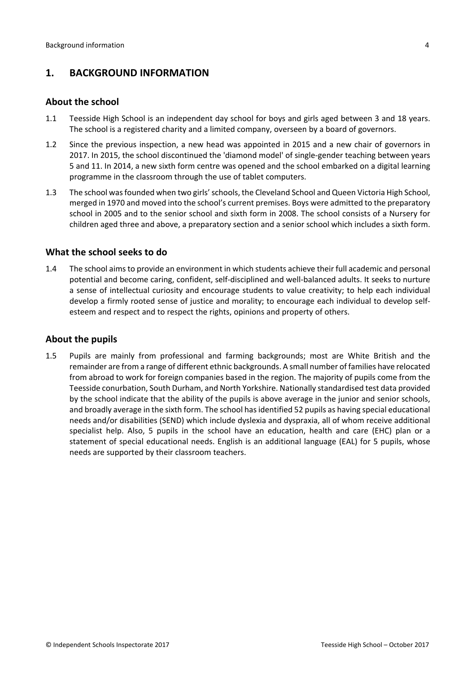## <span id="page-3-0"></span>**1. BACKGROUND INFORMATION**

#### <span id="page-3-1"></span>**About the school**

- 1.1 Teesside High School is an independent day school for boys and girls aged between 3 and 18 years. The school is a registered charity and a limited company, overseen by a board of governors.
- 1.2 Since the previous inspection, a new head was appointed in 2015 and a new chair of governors in 2017. In 2015, the school discontinued the 'diamond model' of single-gender teaching between years 5 and 11. In 2014, a new sixth form centre was opened and the school embarked on a digital learning programme in the classroom through the use of tablet computers.
- 1.3 The school wasfounded when two girls'schools, the Cleveland School and Queen Victoria High School, merged in 1970 and moved into the school's current premises. Boys were admitted to the preparatory school in 2005 and to the senior school and sixth form in 2008. The school consists of a Nursery for children aged three and above, a preparatory section and a senior school which includes a sixth form.

### <span id="page-3-2"></span>**What the school seeks to do**

1.4 The school aimsto provide an environment in which students achieve their full academic and personal potential and become caring, confident, self-disciplined and well-balanced adults. It seeks to nurture a sense of intellectual curiosity and encourage students to value creativity; to help each individual develop a firmly rooted sense of justice and morality; to encourage each individual to develop selfesteem and respect and to respect the rights, opinions and property of others.

### <span id="page-3-3"></span>**About the pupils**

1.5 Pupils are mainly from professional and farming backgrounds; most are White British and the remainder are from a range of different ethnic backgrounds. A small number of families have relocated from abroad to work for foreign companies based in the region. The majority of pupils come from the Teesside conurbation, South Durham, and North Yorkshire. Nationally standardised test data provided by the school indicate that the ability of the pupils is above average in the junior and senior schools, and broadly average in the sixth form. The school hasidentified 52 pupils as having special educational needs and/or disabilities (SEND) which include dyslexia and dyspraxia, all of whom receive additional specialist help. Also, 5 pupils in the school have an education, health and care (EHC) plan or a statement of special educational needs. English is an additional language (EAL) for 5 pupils, whose needs are supported by their classroom teachers.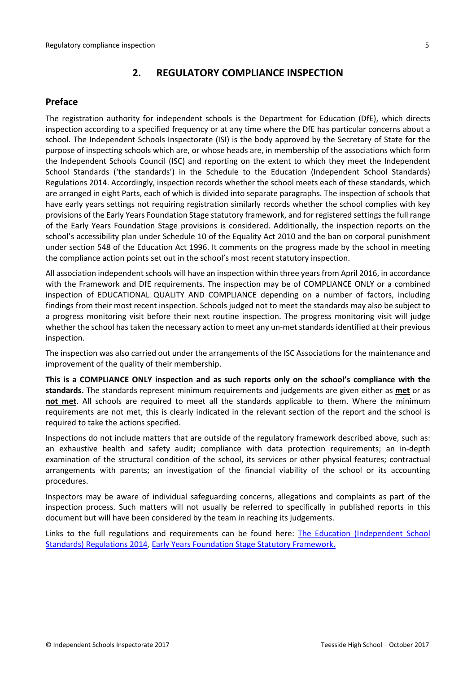# <span id="page-4-0"></span>**2. REGULATORY COMPLIANCE INSPECTION**

## <span id="page-4-1"></span>**Preface**

The registration authority for independent schools is the Department for Education (DfE), which directs inspection according to a specified frequency or at any time where the DfE has particular concerns about a school. The Independent Schools Inspectorate (ISI) is the body approved by the Secretary of State for the purpose of inspecting schools which are, or whose heads are, in membership of the associations which form the Independent Schools Council (ISC) and reporting on the extent to which they meet the Independent School Standards ('the standards') in the Schedule to the Education (Independent School Standards) Regulations 2014. Accordingly, inspection records whether the school meets each of these standards, which are arranged in eight Parts, each of which is divided into separate paragraphs. The inspection of schools that have early years settings not requiring registration similarly records whether the school complies with key provisions of the Early Years Foundation Stage statutory framework, and for registered settings the full range of the Early Years Foundation Stage provisions is considered. Additionally, the inspection reports on the school's accessibility plan under Schedule 10 of the Equality Act 2010 and the ban on corporal punishment under section 548 of the Education Act 1996. It comments on the progress made by the school in meeting the compliance action points set out in the school's most recent statutory inspection.

All association independent schools will have an inspection within three yearsfrom April 2016, in accordance with the Framework and DfE requirements. The inspection may be of COMPLIANCE ONLY or a combined inspection of EDUCATIONAL QUALITY AND COMPLIANCE depending on a number of factors, including findings from their most recent inspection. Schools judged not to meet the standards may also be subject to a progress monitoring visit before their next routine inspection. The progress monitoring visit will judge whether the school has taken the necessary action to meet any un-met standards identified at their previous inspection.

The inspection was also carried out under the arrangements of the ISC Associations for the maintenance and improvement of the quality of their membership.

**This is a COMPLIANCE ONLY inspection and as such reports only on the school's compliance with the standards.** The standards represent minimum requirements and judgements are given either as **met** or as **not met**. All schools are required to meet all the standards applicable to them. Where the minimum requirements are not met, this is clearly indicated in the relevant section of the report and the school is required to take the actions specified.

Inspections do not include matters that are outside of the regulatory framework described above, such as: an exhaustive health and safety audit; compliance with data protection requirements; an in-depth examination of the structural condition of the school, its services or other physical features; contractual arrangements with parents; an investigation of the financial viability of the school or its accounting procedures.

Inspectors may be aware of individual safeguarding concerns, allegations and complaints as part of the inspection process. Such matters will not usually be referred to specifically in published reports in this document but will have been considered by the team in reaching its judgements.

Links to the full regulations and requirements can be found here: The Education [\(Independent](http://www.legislation.gov.uk/uksi/2014/3283/contents/made) School Standards) [Regulations](http://www.legislation.gov.uk/uksi/2014/3283/contents/made) 2014, Early Years Foundation Stage Statutory [Framework.](https://www.gov.uk/government/publications/early-years-foundation-stage-framework--2)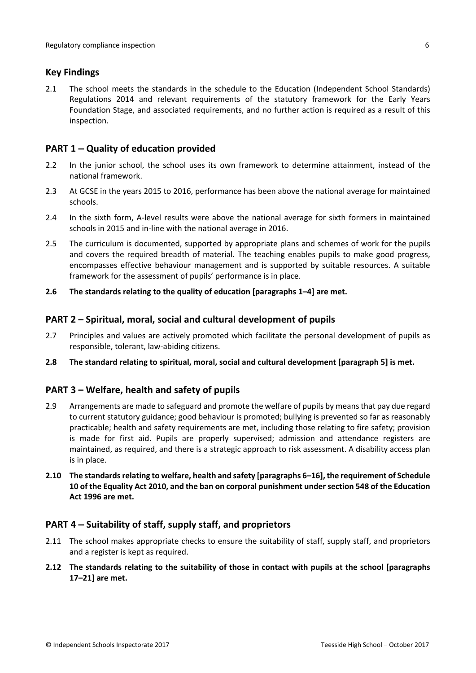## <span id="page-5-0"></span>**Key Findings**

2.1 The school meets the standards in the schedule to the Education (Independent School Standards) Regulations 2014 and relevant requirements of the statutory framework for the Early Years Foundation Stage, and associated requirements, and no further action is required as a result of this inspection.

## <span id="page-5-1"></span>**PART 1 – Quality of education provided**

- 2.2 In the junior school, the school uses its own framework to determine attainment, instead of the national framework.
- 2.3 At GCSE in the years 2015 to 2016, performance has been above the national average for maintained schools.
- 2.4 In the sixth form, A-level results were above the national average for sixth formers in maintained schools in 2015 and in-line with the national average in 2016.
- 2.5 The curriculum is documented, supported by appropriate plans and schemes of work for the pupils and covers the required breadth of material. The teaching enables pupils to make good progress, encompasses effective behaviour management and is supported by suitable resources. A suitable framework for the assessment of pupils' performance is in place.
- **2.6 The standards relating to the quality of education [paragraphs 1–4] are met.**

### <span id="page-5-2"></span>**PART 2 – Spiritual, moral, social and cultural development of pupils**

- 2.7 Principles and values are actively promoted which facilitate the personal development of pupils as responsible, tolerant, law-abiding citizens.
- **2.8 The standard relating to spiritual, moral, social and cultural development [paragraph 5] is met.**

### <span id="page-5-3"></span>**PART 3 – Welfare, health and safety of pupils**

- 2.9 Arrangements are made to safeguard and promote the welfare of pupils by means that pay due regard to current statutory guidance; good behaviour is promoted; bullying is prevented so far as reasonably practicable; health and safety requirements are met, including those relating to fire safety; provision is made for first aid. Pupils are properly supervised; admission and attendance registers are maintained, as required, and there is a strategic approach to risk assessment. A disability access plan is in place.
- **2.10 The standardsrelating to welfare, health and safety [paragraphs 6–16], the requirement of Schedule 10 of the Equality Act 2010, and the ban on corporal punishment undersection 548 of the Education Act 1996 are met.**

### <span id="page-5-4"></span>**PART 4 – Suitability of staff, supply staff, and proprietors**

- 2.11 The school makes appropriate checks to ensure the suitability of staff, supply staff, and proprietors and a register is kept as required.
- **2.12 The standards relating to the suitability of those in contact with pupils at the school [paragraphs 17–21] are met.**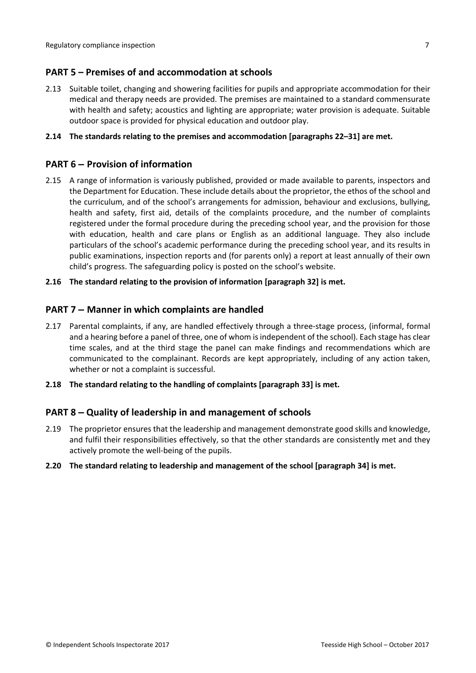## <span id="page-6-0"></span>**PART 5 – Premises of and accommodation at schools**

2.13 Suitable toilet, changing and showering facilities for pupils and appropriate accommodation for their medical and therapy needs are provided. The premises are maintained to a standard commensurate with health and safety; acoustics and lighting are appropriate; water provision is adequate. Suitable outdoor space is provided for physical education and outdoor play.

#### **2.14 The standards relating to the premises and accommodation [paragraphs 22–31] are met.**

## <span id="page-6-1"></span>**PART 6 – Provision of information**

2.15 A range of information is variously published, provided or made available to parents, inspectors and the Department for Education. These include details about the proprietor, the ethos of the school and the curriculum, and of the school's arrangements for admission, behaviour and exclusions, bullying, health and safety, first aid, details of the complaints procedure, and the number of complaints registered under the formal procedure during the preceding school year, and the provision for those with education, health and care plans or English as an additional language. They also include particulars of the school's academic performance during the preceding school year, and its results in public examinations, inspection reports and (for parents only) a report at least annually of their own child's progress. The safeguarding policy is posted on the school's website.

#### **2.16 The standard relating to the provision of information [paragraph 32] is met.**

### <span id="page-6-2"></span>**PART 7 – Manner in which complaints are handled**

- 2.17 Parental complaints, if any, are handled effectively through a three-stage process, (informal, formal and a hearing before a panel of three, one of whom is independent of the school). Each stage has clear time scales, and at the third stage the panel can make findings and recommendations which are communicated to the complainant. Records are kept appropriately, including of any action taken, whether or not a complaint is successful.
- **2.18 The standard relating to the handling of complaints [paragraph 33] is met.**

### <span id="page-6-3"></span>**PART 8 – Quality of leadership in and management of schools**

2.19 The proprietor ensures that the leadership and management demonstrate good skills and knowledge, and fulfil their responsibilities effectively, so that the other standards are consistently met and they actively promote the well-being of the pupils.

#### **2.20 The standard relating to leadership and management of the school [paragraph 34] is met.**